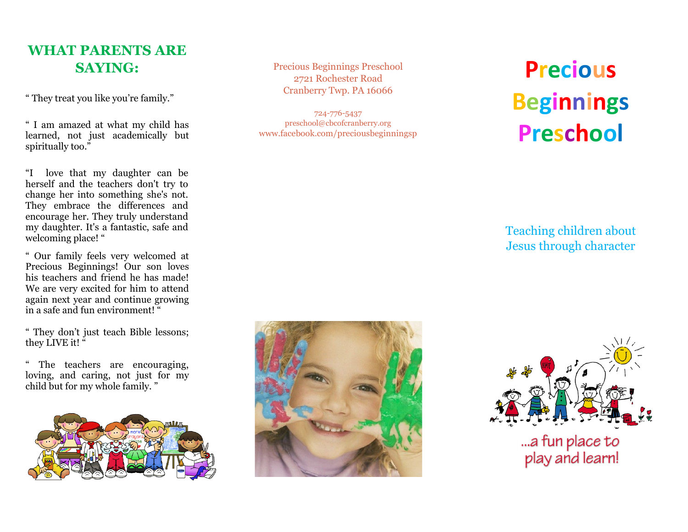# **WHAT PARENTS ARE SAYING:**

" They treat you like you're family."

" I am amazed at what my child has learned, not just academically but spiritually too."

"I love that my daughter can be herself and the teachers don't try to change her into something she's not. They embrace the differences and encourage her. They truly understand my daughter. It's a fantastic, safe and welcoming place! "

" Our family feels very welcomed at Precious Beginnings! Our son loves his teachers and friend he has made! We are very excited for him to attend again next year and continue growing in a safe and fun environment! "

" They don't just teach Bible lessons; they LIVE it!"

The teachers are encouraging, loving, and caring, not just for my child but for my whole family. "



Precious Beginnings Preschool 2721 Rochester Road Cranberry Twp. PA 16066

724 -776 -5437 preschool@cbcofcranberry.org www.facebook.com/preciousbeginningsp

# **Precious Beginnings Preschool**

Teaching children about Jesus through character